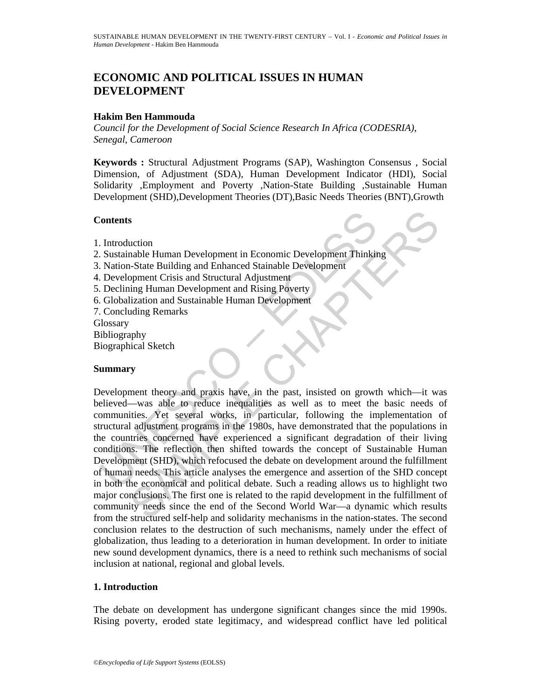# **ECONOMIC AND POLITICAL ISSUES IN HUMAN DEVELOPMENT**

## **Hakim Ben Hammouda**

*Council for the Development of Social Science Research In Africa (CODESRIA), Senegal, Cameroon* 

**Keywords :** Structural Adjustment Programs (SAP), Washington Consensus , Social Dimension, of Adjustment (SDA), Human Development Indicator (HDI), Social Solidarity ,Employment and Poverty ,Nation-State Building ,Sustainable Human Development (SHD),Development Theories (DT),Basic Needs Theories (BNT),Growth

### **Contents**

- 1. Introduction
- 2. Sustainable Human Development in Economic Development Thinking
- 3. Nation-State Building and Enhanced Stainable Development
- 4. Development Crisis and Structural Adjustment
- 5. Declining Human Development and Rising Poverty
- 6. Globalization and Sustainable Human Development
- 7. Concluding Remarks

**Glossary** 

- Bibliography
- Biographical Sketch

## **Summary**

Contents<br>
Introduction<br>
Sustainable Human Development in Economic Development Thinkin<br>
Nation-State Building and Enhanced Stainable Development<br>
Development Crisis and Structural Adjustment<br>
Declining Human Development and s<br>
action<br>
mable Human Development in Economic Development Thinking<br>
-State Building and Enhanced Stainable Development<br>
ing Human Development and Rising Poverty<br>
lization and Sustainable Human Development<br>
lization and Su Development theory and praxis have, in the past, insisted on growth which—it was believed—was able to reduce inequalities as well as to meet the basic needs of communities. Yet several works, in particular, following the implementation of structural adjustment programs in the 1980s, have demonstrated that the populations in the countries concerned have experienced a significant degradation of their living conditions. The reflection then shifted towards the concept of Sustainable Human Development (SHD), which refocused the debate on development around the fulfillment of human needs. This article analyses the emergence and assertion of the SHD concept in both the economical and political debate. Such a reading allows us to highlight two major conclusions. The first one is related to the rapid development in the fulfillment of community needs since the end of the Second World War—a dynamic which results from the structured self-help and solidarity mechanisms in the nation-states. The second conclusion relates to the destruction of such mechanisms, namely under the effect of globalization, thus leading to a deterioration in human development. In order to initiate new sound development dynamics, there is a need to rethink such mechanisms of social inclusion at national, regional and global levels.

### **1. Introduction**

The debate on development has undergone significant changes since the mid 1990s. Rising poverty, eroded state legitimacy, and widespread conflict have led political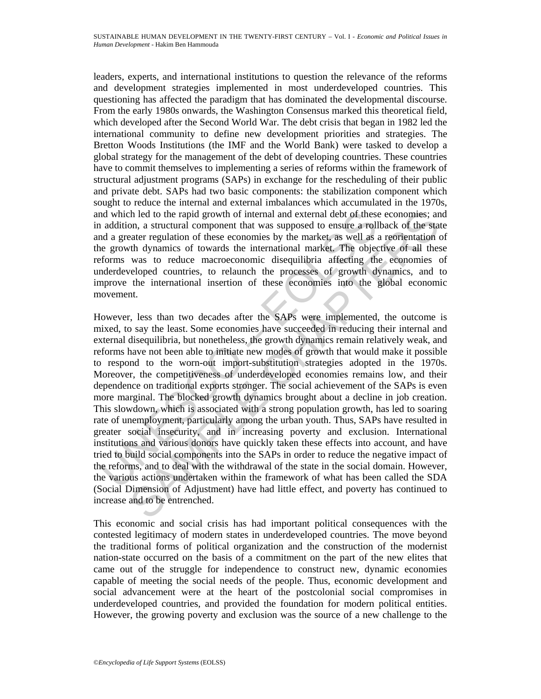leaders, experts, and international institutions to question the relevance of the reforms and development strategies implemented in most underdeveloped countries. This questioning has affected the paradigm that has dominated the developmental discourse. From the early 1980s onwards, the Washington Consensus marked this theoretical field, which developed after the Second World War. The debt crisis that began in 1982 led the international community to define new development priorities and strategies. The Bretton Woods Institutions (the IMF and the World Bank) were tasked to develop a global strategy for the management of the debt of developing countries. These countries have to commit themselves to implementing a series of reforms within the framework of structural adjustment programs (SAPs) in exchange for the rescheduling of their public and private debt. SAPs had two basic components: the stabilization component which sought to reduce the internal and external imbalances which accumulated in the 1970s, and which led to the rapid growth of internal and external debt of these economies; and in addition, a structural component that was supposed to ensure a rollback of the state and a greater regulation of these economies by the market, as well as a reorientation of the growth dynamics of towards the international market. The objective of all these reforms was to reduce macroeconomic disequilibria affecting the economies of underdeveloped countries, to relaunch the processes of growth dynamics, and to improve the international insertion of these economies into the global economic movement.

nd which led to the rapid growth of internal and external debt of these<br>a addition, a structural component that was supposed to ensure a roll<br>and a greater regulation of these conomies by the market, as well as<br>le growth d h led to the rapid growth of internal and external debt of these economies; an, a structural component that was supposed to ensure a rollback of the state regulation of these economies by the market, as well as a reorienta However, less than two decades after the SAPs were implemented, the outcome is mixed, to say the least. Some economies have succeeded in reducing their internal and external disequilibria, but nonetheless, the growth dynamics remain relatively weak, and reforms have not been able to initiate new modes of growth that would make it possible to respond to the worn-out import-substitution strategies adopted in the 1970s. Moreover, the competitiveness of underdeveloped economies remains low, and their dependence on traditional exports stronger. The social achievement of the SAPs is even more marginal. The blocked growth dynamics brought about a decline in job creation. This slowdown, which is associated with a strong population growth, has led to soaring rate of unemployment, particularly among the urban youth. Thus, SAPs have resulted in greater social insecurity, and in increasing poverty and exclusion. International institutions and various donors have quickly taken these effects into account, and have tried to build social components into the SAPs in order to reduce the negative impact of the reforms, and to deal with the withdrawal of the state in the social domain. However, the various actions undertaken within the framework of what has been called the SDA (Social Dimension of Adjustment) have had little effect, and poverty has continued to increase and to be entrenched.

This economic and social crisis has had important political consequences with the contested legitimacy of modern states in underdeveloped countries. The move beyond the traditional forms of political organization and the construction of the modernist nation-state occurred on the basis of a commitment on the part of the new elites that came out of the struggle for independence to construct new, dynamic economies capable of meeting the social needs of the people. Thus, economic development and social advancement were at the heart of the postcolonial social compromises in underdeveloped countries, and provided the foundation for modern political entities. However, the growing poverty and exclusion was the source of a new challenge to the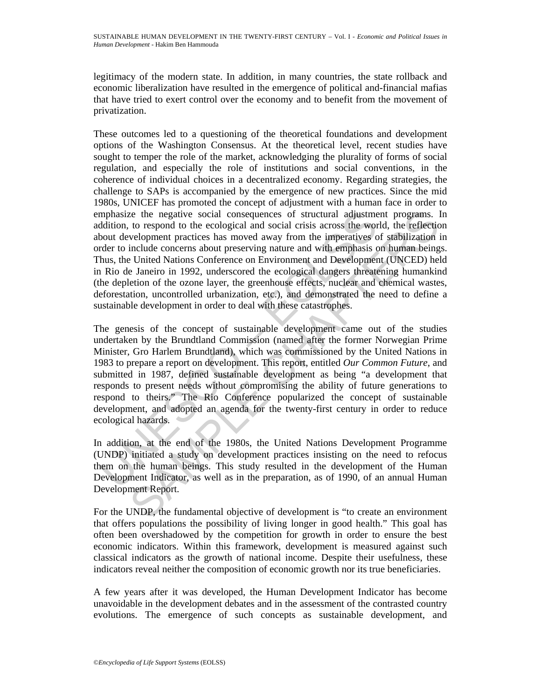legitimacy of the modern state. In addition, in many countries, the state rollback and economic liberalization have resulted in the emergence of political and-financial mafias that have tried to exert control over the economy and to benefit from the movement of privatization.

These outcomes led to a questioning of the theoretical foundations and development options of the Washington Consensus. At the theoretical level, recent studies have sought to temper the role of the market, acknowledging the plurality of forms of social regulation, and especially the role of institutions and social conventions, in the coherence of individual choices in a decentralized economy. Regarding strategies, the challenge to SAPs is accompanied by the emergence of new practices. Since the mid 1980s, UNICEF has promoted the concept of adjustment with a human face in order to emphasize the negative social consequences of structural adjustment programs. In addition, to respond to the ecological and social crisis across the world, the reflection about development practices has moved away from the imperatives of stabilization in order to include concerns about preserving nature and with emphasis on human beings. Thus, the United Nations Conference on Environment and Development (UNCED) held in Rio de Janeiro in 1992, underscored the ecological dangers threatening humankind (the depletion of the ozone layer, the greenhouse effects, nuclear and chemical wastes, deforestation, uncontrolled urbanization, etc.), and demonstrated the need to define a sustainable development in order to deal with these catastrophes.

mphasize the negative social consequences of structural adjustme<br>ddition, to respond to the ecological and social crisis across the word<br>out development practices has moved away from the imperatives of<br>dert to include conc the negative social consequences of structural adjustment programs. It to respond to the cological and social crisis across the world, the reflection include concerns about preserving nature and with emphasis on bunnan be The genesis of the concept of sustainable development came out of the studies undertaken by the Brundtland Commission (named after the former Norwegian Prime Minister, Gro Harlem Brundtland), which was commissioned by the United Nations in 1983 to prepare a report on development. This report, entitled *Our Common Future*, and submitted in 1987, defined sustainable development as being "a development that responds to present needs without compromising the ability of future generations to respond to theirs." The Rio Conference popularized the concept of sustainable development, and adopted an agenda for the twenty-first century in order to reduce ecological hazards.

In addition, at the end of the 1980s, the United Nations Development Programme (UNDP) initiated a study on development practices insisting on the need to refocus them on the human beings. This study resulted in the development of the Human Development Indicator, as well as in the preparation, as of 1990, of an annual Human Development Report.

For the UNDP, the fundamental objective of development is "to create an environment that offers populations the possibility of living longer in good health." This goal has often been overshadowed by the competition for growth in order to ensure the best economic indicators. Within this framework, development is measured against such classical indicators as the growth of national income. Despite their usefulness, these indicators reveal neither the composition of economic growth nor its true beneficiaries.

A few years after it was developed, the Human Development Indicator has become unavoidable in the development debates and in the assessment of the contrasted country evolutions. The emergence of such concepts as sustainable development, and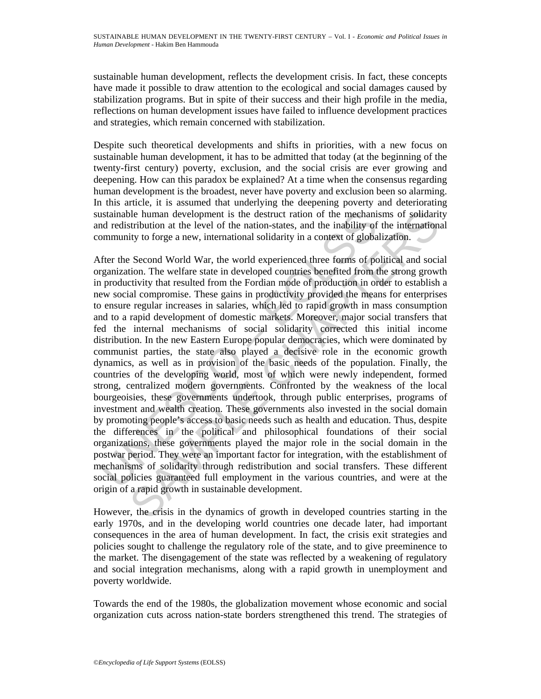sustainable human development, reflects the development crisis. In fact, these concepts have made it possible to draw attention to the ecological and social damages caused by stabilization programs. But in spite of their success and their high profile in the media, reflections on human development issues have failed to influence development practices and strategies, which remain concerned with stabilization.

Despite such theoretical developments and shifts in priorities, with a new focus on sustainable human development, it has to be admitted that today (at the beginning of the twenty-first century) poverty, exclusion, and the social crisis are ever growing and deepening. How can this paradox be explained? At a time when the consensus regarding human development is the broadest, never have poverty and exclusion been so alarming. In this article, it is assumed that underlying the deepening poverty and deteriorating sustainable human development is the destruct ration of the mechanisms of solidarity and redistribution at the level of the nation-states, and the inability of the international community to forge a new, international solidarity in a context of globalization.

ustainable human development is the destruct ration of the mechani<br>of redistribution at the level of the nation-states, and the inability of<br>ommunity to forge a new, international solidarity in a context of globa<br>fter the ble human development is the destruct ration of the mechanisms of solidarity<br>thout at the level of the nation-sates, and the inability of the internation<br>tity to forge a new, internation solidarity in a context of globaliz After the Second World War, the world experienced three forms of political and social organization. The welfare state in developed countries benefited from the strong growth in productivity that resulted from the Fordian mode of production in order to establish a new social compromise. These gains in productivity provided the means for enterprises to ensure regular increases in salaries, which led to rapid growth in mass consumption and to a rapid development of domestic markets. Moreover, major social transfers that fed the internal mechanisms of social solidarity corrected this initial income distribution. In the new Eastern Europe popular democracies, which were dominated by communist parties, the state also played a decisive role in the economic growth dynamics, as well as in provision of the basic needs of the population. Finally, the countries of the developing world, most of which were newly independent, formed strong, centralized modern governments. Confronted by the weakness of the local bourgeoisies, these governments undertook, through public enterprises, programs of investment and wealth creation. These governments also invested in the social domain by promoting people's access to basic needs such as health and education. Thus, despite the differences in the political and philosophical foundations of their social organizations, these governments played the major role in the social domain in the postwar period. They were an important factor for integration, with the establishment of mechanisms of solidarity through redistribution and social transfers. These different social policies guaranteed full employment in the various countries, and were at the origin of a rapid growth in sustainable development.

However, the crisis in the dynamics of growth in developed countries starting in the early 1970s, and in the developing world countries one decade later, had important consequences in the area of human development. In fact, the crisis exit strategies and policies sought to challenge the regulatory role of the state, and to give preeminence to the market. The disengagement of the state was reflected by a weakening of regulatory and social integration mechanisms, along with a rapid growth in unemployment and poverty worldwide.

Towards the end of the 1980s, the globalization movement whose economic and social organization cuts across nation-state borders strengthened this trend. The strategies of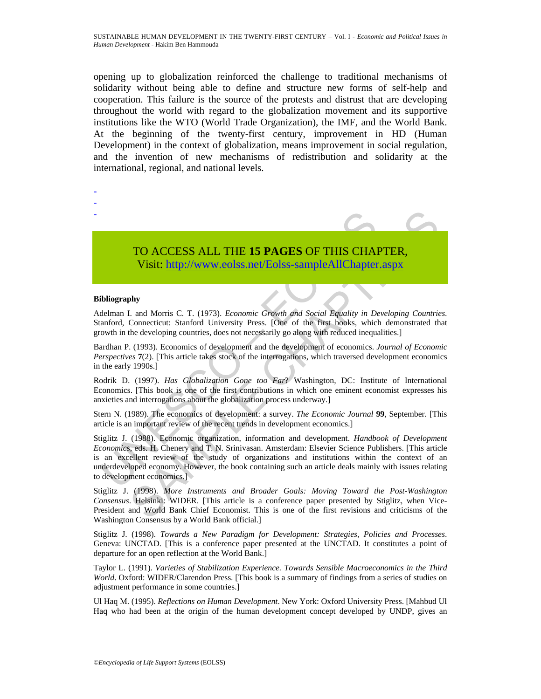opening up to globalization reinforced the challenge to traditional mechanisms of solidarity without being able to define and structure new forms of self-help and cooperation. This failure is the source of the protests and distrust that are developing throughout the world with regard to the globalization movement and its supportive institutions like the WTO (World Trade Organization), the IMF, and the World Bank. At the beginning of the twenty-first century, improvement in HD (Human Development) in the context of globalization, means improvement in social regulation, and the invention of new mechanisms of redistribution and solidarity at the international, regional, and national levels.



#### **Bibliography**

- - -

Adelman I. and Morris C. T. (1973). *Economic Growth and Social Equality in Developing Countries*. Stanford, Connecticut: Stanford University Press. [One of the first books, which demonstrated that growth in the developing countries, does not necessarily go along with reduced inequalities.]

Bardhan P. (1993). Economics of development and the development of economics. *Journal of Economic Perspectives* **7**(2). [This article takes stock of the interrogations, which traversed development economics in the early 1990s.]

Rodrik D. (1997). *Has Globalization Gone too Far*? Washington, DC: Institute of International Economics. [This book is one of the first contributions in which one eminent economist expresses his anxieties and interrogations about the globalization process underway.]

Stern N. (1989). The economics of development: a survey. *The Economic Journal* **99**, September. [This article is an important review of the recent trends in development economics.]

**TO ACCESS ALL THE 15 PAGES OF THIS CHA**<br>Visit: http://www.colss.net/Eolss-sample AllChapter<br>ibliography<br>delman I. and Morris C. T. (1973). *Economic Growth and Social Equality in De*<br>anaford, Connecticut: Stanford Univer **TO ACCESS ALL THE 15 PAGES OF THIS CHAP[TER](https://www.eolss.net/ebooklib/sc_cart.aspx?File=E6-60-01-06),**<br>
Visit: http://www.ecolss.net/Eolss-sampleAllChapter.aspx<br>
t. and Morris C. T. (1973). *Economic Growth and Social Equality in Developing Countrie*<br>
Connecticut: Stanford Univ Stiglitz J. (1988). Economic organization, information and development. *Handbook of Development Economic*s, eds. H. Chenery and T. N. Srinivasan. Amsterdam: Elsevier Science Publishers. [This article is an excellent review of the study of organizations and institutions within the context of an underdeveloped economy. However, the book containing such an article deals mainly with issues relating to development economics.]

Stiglitz J. (1998). *More Instruments and Broader Goals: Moving Toward the Post-Washington Consensus*. Helsinki: WIDER. [This article is a conference paper presented by Stiglitz, when Vice-President and World Bank Chief Economist. This is one of the first revisions and criticisms of the Washington Consensus by a World Bank official.]

Stiglitz J. (1998). *Towards a New Paradigm for Development: Strategies, Policies and Processes*. Geneva: UNCTAD. [This is a conference paper presented at the UNCTAD. It constitutes a point of departure for an open reflection at the World Bank.]

Taylor L. (1991). *Varieties of Stabilization Experience. Towards Sensible Macroeconomics in the Third World*. Oxford: WIDER/Clarendon Press. [This book is a summary of findings from a series of studies on adjustment performance in some countries.]

Ul Haq M. (1995). *Reflections on Human Development*. New York: Oxford University Press. [Mahbud Ul Haq who had been at the origin of the human development concept developed by UNDP, gives an